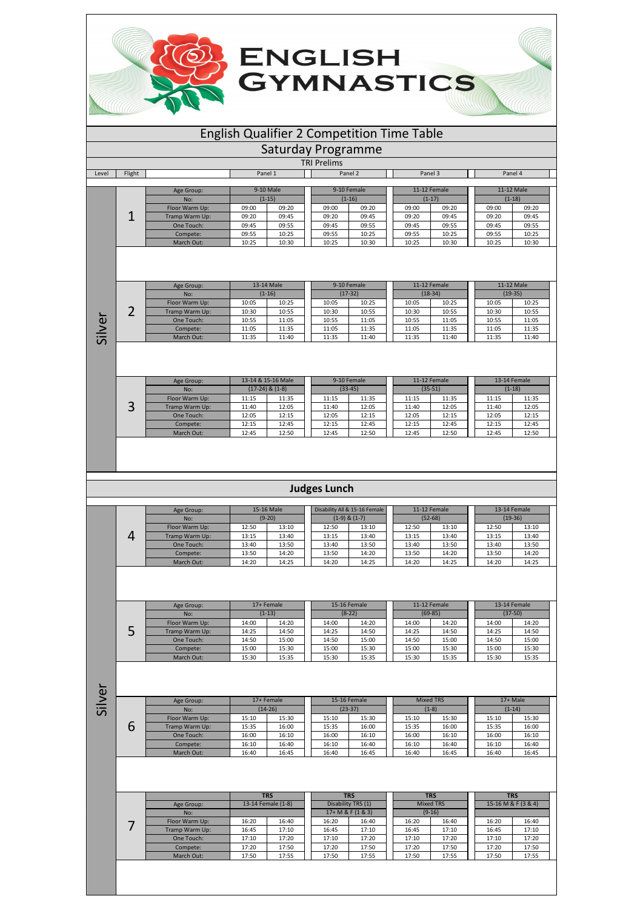## English Qualifier 2 Competition Time Table

**ENGLISH<br>GYMNASTICS** 

Saturday Programme

|       |        |                |         |           | <b>TRI Prelims</b> |             |         |              |          |            |  |
|-------|--------|----------------|---------|-----------|--------------------|-------------|---------|--------------|----------|------------|--|
| Level | Flight |                | Panel 1 |           |                    | Panel 2     | Panel 3 |              | Panel 4  |            |  |
|       |        |                |         |           |                    |             |         |              |          |            |  |
|       |        | Age Group:     |         | 9-10 Male |                    | 9-10 Female |         | 11-12 Female |          | 11-12 Male |  |
|       |        | No:            |         | $(1-15)$  |                    | $(1-16)$    |         | $(1-17)$     | $(1-18)$ |            |  |
|       |        | Floor Warm Up: | 09:00   | 09:20     | 09:00              | 09:20       | 09:00   | 09:20        | 09:00    | 09:20      |  |
|       |        | Tramp Warm Up: | 09:20   | 09:45     | 09:20              | 09:45       | 09:20   | 09:45        | 09:20    | 09:45      |  |
|       |        | One Touch:     | 09:45   | 09:55     | 09:45              | 09:55       | 09:45   | 09:55        | 09:45    | 09:55      |  |
|       |        | Compete:       | 09:55   | 10:25     | 09:55              | 10:25       | 09:55   | 10:25        | 09:55    | 10:25      |  |
|       |        | March Out:     | 10:25   | 10:30     | 10:25              | 10:30       | 10:25   | 10:30        | 10:25    | 10:30      |  |
|       |        |                |         |           |                    |             |         |              |          |            |  |

|        | Age Group:     |       | 13-14 Male |       | 9-10 Female | 11-12 Female |           |           | 11-12 Male |
|--------|----------------|-------|------------|-------|-------------|--------------|-----------|-----------|------------|
|        | No:            |       | $(1-16)$   |       | $(17-32)$   |              | $(18-34)$ | $(19-35)$ |            |
|        | Floor Warm Up: | 10:05 | 10:25      | 10:05 | 10:25       | 10:05        | 10:25     | 10:05     | 10:25      |
| $\sim$ | Tramp Warm Up: | 10:30 | 10:55      | 10:30 | 10:55       | 10:30        | 10:55     | 10:30     | 10:55      |
|        | One Touch:     | 10:55 | 11:05      | 10:55 | 11:05       | 10:55        | 11:05     | 10:55     | 11:05      |
|        | Compete:       | 11:05 | 11:35      | 11:05 | 11:35       | 11:05        | 11:35     | 11:05     | 11:35      |
|        | March Out:     | 11:35 | 11:40      | 11:35 | 11:40       | 11:35        | 11:40     | 11:35     | 11:40      |

Silver

|        | Age Group:     |       | 13-14 & 15-16 Male  |           | 9-10 Female | 11-12 Female |           |       | 13-14 Female |
|--------|----------------|-------|---------------------|-----------|-------------|--------------|-----------|-------|--------------|
|        | No:            |       | $(17-24)$ & $(1-8)$ | $(33-45)$ |             |              | $(35-51)$ |       | $(1-18)$     |
|        | Floor Warm Up: | 11:15 | 11:35               | 11:15     | 11:35       | 11:15        | 11:35     | 11:15 | 11:35        |
| ⌒<br>◡ | Tramp Warm Up: | 11:40 | 12:05               | 11:40     | 12:05       | 11:40        | 12:05     | 11:40 | 12:05        |
|        | One Touch:     | 12:05 | 12:15               | 12:05     | 12:15       | 12:05        | 12:15     | 12:05 | 12:15        |
|        | Compete:       | 12:15 | 12:45               | 12:15     | 12:45       | 12:15        | 12:45     | 12:15 | 12:45        |
|        | March Out:     | 12:45 | 12:50               | 12:45     | 12:50       | 12:45        | 12:50     | 12:45 | 12:50        |

## **Judges Lunch**

| Age Group:     |       | 15-16 Male |       | Disability All & 15-16 Female |       | 11-12 Female |       | 13-14 Female |  |
|----------------|-------|------------|-------|-------------------------------|-------|--------------|-------|--------------|--|
| No:            |       | $(9-20)$   |       | $(1-9)$ & $(1-7)$             |       | $(52-68)$    |       | $(19-36)$    |  |
| Floor Warm Up: | 12:50 | 13:10      | 12:50 | 13:10                         | 12:50 | 13:10        | 12:50 | 13:10        |  |
| Tramp Warm Up: | 13:15 | 13:40      | 13:15 | 13:40                         | 13:15 | 13:40        | 13:15 | 13:40        |  |
| One Touch:     | 13:40 | 13:50      | 13:40 | 13:50                         | 13:40 | 13:50        | 13:40 | 13:50        |  |
| Compete:       | 13:50 | 14:20      | 13:50 | 14:20                         | 13:50 | 14:20        | 13:50 | 14:20        |  |
| March Out:     | 14:20 | 14:25      | 14:20 | 14:25                         | 14:20 | 14:25        | 14:20 | 14:25        |  |

| Age Group:     |       | 17+ Female |       | 15-16 Female |       | 11-12 Female | 13-14 Female |           |
|----------------|-------|------------|-------|--------------|-------|--------------|--------------|-----------|
| No:            |       | $(1-13)$   |       | $(8-22)$     |       | $(69-85)$    |              | $(37-50)$ |
| Floor Warm Up: | 14:00 | 14:20      | 14:00 | 14:20        | 14:00 | 14:20        | 14:00        | 14:20     |
| Tramp Warm Up: | 14:25 | 14:50      | 14:25 | 14:50        | 14:25 | 14:50        | 14:25        | 14:50     |
| One Touch:     | 14:50 | 15:00      | 14:50 | 15:00        | 14:50 | 15:00        | 14:50        | 15:00     |
| Compete:       | 15:00 | 15:30      | 15:00 | 15:30        | 15:00 | 15:30        | 15:00        | 15:30     |
| March Out:     | 15:30 | 15:35      | 15:30 | 15:35        | 15:30 | 15:35        | 15:30        | 15:35     |

Silver

5

|   | Age Group:     |       | 17+ Female | 15-16 Female |           | <b>Mixed TRS</b> |         |          | $17+$ Male |
|---|----------------|-------|------------|--------------|-----------|------------------|---------|----------|------------|
|   | No:            |       | $(14-26)$  |              | $(23-37)$ |                  | $(1-8)$ | $(1-14)$ |            |
|   | Floor Warm Up: | 15:10 | 15:30      | 15:10        | 15:30     | 15:10            | 15:30   | 15:10    | 15:30      |
| 6 | Tramp Warm Up: | 15:35 | 16:00      | 15:35        | 16:00     | 15:35            | 16:00   | 15:35    | 16:00      |
|   | One Touch:     | 16:00 | 16:10      | 16:00        | 16:10     | 16:00            | 16:10   | 16:00    | 16:10      |
|   | Compete:       | 16:10 | 16:40      | 16:10        | 16:40     | 16:10            | 16:40   | 16:10    | 16:40      |
|   | March Out:     | 16:40 | 16:45      | 16:40        | 16:45     | 16:40            | 16:45   | 16:40    | 16:45      |

|                |       | <b>TRS</b>         |       | <b>TRS</b>         |                  | <b>TRS</b> |       | <b>TRS</b>          |  |
|----------------|-------|--------------------|-------|--------------------|------------------|------------|-------|---------------------|--|
| Age Group:     |       | 13-14 Female (1-8) |       | Disability TRS (1) | <b>Mixed TRS</b> |            |       | 15-16 M & F (3 & 4) |  |
| No:            |       |                    |       | $17+ M & F(1 & 3)$ |                  | $(9-16)$   |       |                     |  |
| Floor Warm Up: | 16:20 | 16:40              | 16:20 | 16:40              | 16:20            | 16:40      | 16:20 | 16:40               |  |
| Tramp Warm Up: | 16:45 | 17:10              | 16:45 | 17:10              | 16:45            | 17:10      | 16:45 | 17:10               |  |
| One Touch:     | 17:10 | 17:20              | 17:10 | 17:20              | 17:10            | 17:20      | 17:10 | 17:20               |  |
| Compete:       | 17:20 | 17:50              | 17:20 | 17:50              | 17:20            | 17:50      | 17:20 | 17:50               |  |
| March Out:     | 17:50 | 17:55              | 17:50 | 17:55              | 17:50            | 17:55      | 17:50 | 17:55               |  |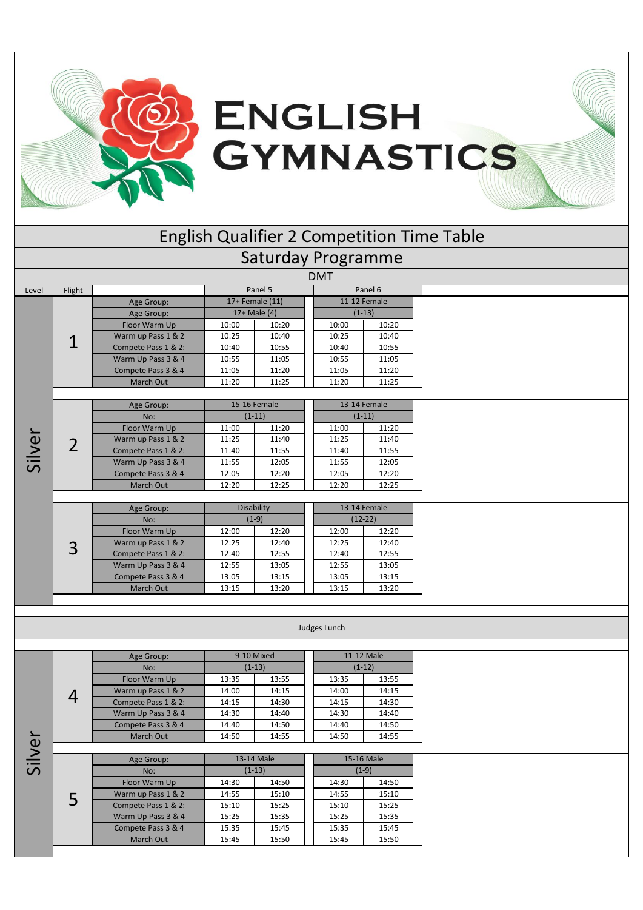

|        |                |                                     |                |                          |                           |                          | <b>English Qualifier 2 Competition Time Table</b> |
|--------|----------------|-------------------------------------|----------------|--------------------------|---------------------------|--------------------------|---------------------------------------------------|
|        |                |                                     |                |                          | <b>Saturday Programme</b> |                          |                                                   |
|        |                |                                     |                |                          | <b>DMT</b>                |                          |                                                   |
| Level  | Flight         |                                     |                | Panel 5                  |                           | Panel 6                  |                                                   |
|        |                | Age Group:                          |                | 17+ Female (11)          |                           | 11-12 Female             |                                                   |
|        |                | Age Group:                          |                | $17+$ Male (4)           |                           | $(1-13)$                 |                                                   |
|        |                | Floor Warm Up                       | 10:00          | 10:20                    | 10:00                     | 10:20                    |                                                   |
|        | 1              | Warm up Pass 1 & 2                  | 10:25          | 10:40                    | 10:25                     | 10:40                    |                                                   |
|        |                | Compete Pass 1 & 2:                 | 10:40          | 10:55                    | 10:40                     | 10:55                    |                                                   |
|        |                | Warm Up Pass 3 & 4                  | 10:55          | 11:05                    | 10:55                     | 11:05                    |                                                   |
|        |                | Compete Pass 3 & 4                  | 11:05          | 11:20                    | 11:05                     | 11:20                    |                                                   |
|        |                | March Out                           | 11:20          | 11:25                    | 11:20                     | 11:25                    |                                                   |
|        |                |                                     |                |                          |                           |                          |                                                   |
|        |                | Age Group:<br>No:                   |                | 15-16 Female<br>$(1-11)$ |                           | 13-14 Female<br>$(1-11)$ |                                                   |
|        |                |                                     |                |                          |                           |                          |                                                   |
|        |                | Floor Warm Up<br>Warm up Pass 1 & 2 | 11:00<br>11:25 | 11:20<br>11:40           | 11:00<br>11:25            | 11:20<br>11:40           |                                                   |
|        | $\overline{2}$ | Compete Pass 1 & 2:                 | 11:40          | 11:55                    | 11:40                     | 11:55                    |                                                   |
| Silver |                | Warm Up Pass 3 & 4                  | 11:55          | 12:05                    | 11:55                     | 12:05                    |                                                   |
|        |                | Compete Pass 3 & 4                  | 12:05          | 12:20                    | 12:05                     | 12:20                    |                                                   |
|        |                | March Out                           | 12:20          | 12:25                    | 12:20                     | 12:25                    |                                                   |
|        |                |                                     |                |                          |                           |                          |                                                   |
|        |                | Age Group:                          |                | Disability               |                           | 13-14 Female             |                                                   |
|        |                | No:                                 |                | $(1-9)$                  |                           | $(12-22)$                |                                                   |
|        |                | Floor Warm Up                       | 12:00          | 12:20                    | 12:00                     | 12:20                    |                                                   |
|        | 3              | Warm up Pass 1 & 2                  | 12:25          | 12:40                    | 12:25                     | 12:40                    |                                                   |
|        |                | Compete Pass 1 & 2:                 | 12:40          | 12:55                    | 12:40                     | 12:55                    |                                                   |
|        |                | Warm Up Pass 3 & 4                  | 12:55          | 13:05                    | 12:55                     | 13:05                    |                                                   |
|        |                | Compete Pass 3 & 4                  | 13:05          | 13:15                    | 13:05                     | 13:15                    |                                                   |
|        |                | March Out                           | 13:15          | 13:20                    | 13:15                     | 13:20                    |                                                   |
|        |                |                                     |                |                          |                           |                          |                                                   |
|        |                |                                     |                |                          | Judges Lunch              |                          |                                                   |
|        |                |                                     |                |                          |                           |                          |                                                   |
|        |                | Age Group:                          |                | 9-10 Mixed               |                           | 11-12 Male               |                                                   |
|        |                | No:                                 |                | $(1-13)$                 |                           | $(1-12)$                 |                                                   |
|        |                | Floor Warm Up                       | 13:35          | 13:55                    | 13:35                     | 13:55                    |                                                   |
|        |                | Warm up Pass 1 & 2                  | 14:00          | 14:15                    | 14:00                     | 14:15                    |                                                   |
|        | 4              | Compete Pass 1 & 2:                 | 14:15          | 14:30                    | 14:15                     | 14:30                    |                                                   |
|        |                | Warm Up Pass 3 & 4                  | 14:30          | 14:40                    | 14:30                     | 14:40                    |                                                   |
|        |                | Compete Pass 3 & 4                  | 14:40          | 14:50                    | 14:40                     | 14:50                    |                                                   |
| Silver |                | March Out                           | 14:50          | 14:55                    | 14:50                     | 14:55                    |                                                   |
|        |                |                                     |                |                          |                           |                          |                                                   |
|        |                | Age Group:                          |                | 13-14 Male               |                           | 15-16 Male               |                                                   |
|        |                | No:<br>Floor Warm Up                | 14:30          | $(1-13)$                 | 14:30                     | $(1-9)$<br>14:50         |                                                   |
|        |                | Warm up Pass 1 & 2                  | 14:55          | 14:50<br>15:10           | 14:55                     | 15:10                    |                                                   |
|        | 5              | Compete Pass 1 & 2:                 | 15:10          | 15:25                    | 15:10                     | 15:25                    |                                                   |
|        |                | Warm Up Pass 3 & 4                  | 15:25          | 15:35                    | 15:25                     | 15:35                    |                                                   |
|        |                | Compete Pass 3 & 4                  | 15:35          | 15:45                    | 15:35                     | 15:45                    |                                                   |
|        |                | March Out                           | 15:45          | 15:50                    | 15:45                     | 15:50                    |                                                   |
|        |                |                                     |                |                          |                           |                          |                                                   |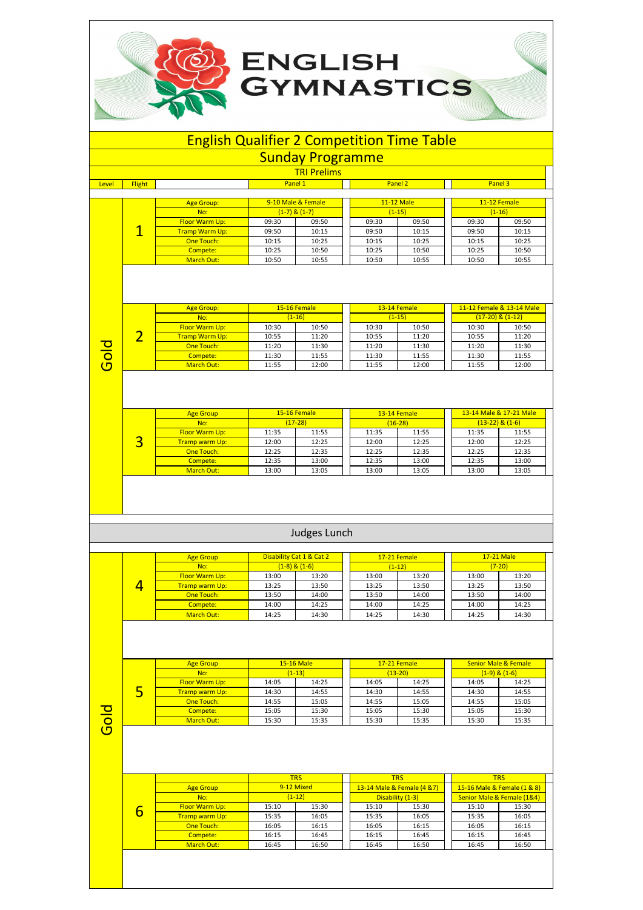## English Qualifier 2 Competition Time Table

**GYMNASTICS** 

**ENGLISH** 

|       |                |                               |                   | <b>Sunday Programme</b>    |                |                               |                |                                                   |
|-------|----------------|-------------------------------|-------------------|----------------------------|----------------|-------------------------------|----------------|---------------------------------------------------|
|       |                |                               |                   | <b>TRI Prelims</b>         |                |                               |                |                                                   |
| Level | <b>Flight</b>  |                               | Panel 1           |                            |                | Panel <sub>2</sub>            |                | Panel 3                                           |
|       |                |                               |                   |                            |                |                               |                |                                                   |
|       |                | <b>Age Group:</b>             |                   | 9-10 Male & Female         |                | <b>11-12 Male</b><br>$(1-15)$ |                | 11-12 Female<br>$(1-16)$                          |
|       |                | No:<br>Floor Warm Up:         | 09:30             | $(1-7)$ & $(1-7)$<br>09:50 | 09:30          | 09:50                         | 09:30          | 09:50                                             |
|       | $\mathbf{1}$   | <b>Tramp Warm Up:</b>         | 09:50             | 10:15                      | 09:50          | 10:15                         | 09:50          | 10:15                                             |
|       |                | One Touch:                    | 10:15             | 10:25                      | 10:15          | 10:25                         | 10:15          | 10:25                                             |
|       |                | Compete:                      | 10:25             | 10:50                      | 10:25          | 10:50                         | 10:25          | 10:50                                             |
|       |                | <b>March Out:</b>             | 10:50             | 10:55                      | 10:50          | 10:55                         | 10:50          | 10:55                                             |
|       |                | <b>Age Group:</b><br>No:      |                   | 15-16 Female<br>$(1-16)$   |                | 13-14 Female<br>$(1-15)$      |                | 11-12 Female & 13-14 Male<br>$(17-20)$ & $(1-12)$ |
|       |                | Floor Warm Up:                | 10:30             | 10:50                      | 10:30          | 10:50                         | 10:30          | 10:50                                             |
|       | $\overline{2}$ | <b>Tramp Warm Up:</b>         | 10:55             | 11:20                      | 10:55          | 11:20                         | 10:55          | 11:20                                             |
|       |                | One Touch:                    | 11:20             | 11:30                      | 11:20          | 11:30                         | 11:20          | 11:30                                             |
| Gold  |                | Compete:                      | 11:30             | 11:55                      | 11:30          | 11:55                         | 11:30          | 11:55                                             |
|       |                | March Out:                    | 11:55             | 12:00                      | 11:55          | 12:00                         | 11:55          | 12:00                                             |
|       |                |                               |                   |                            |                |                               |                |                                                   |
|       |                | <b>Age Group</b>              |                   | 15-16 Female               |                | 13-14 Female                  |                | 13-14 Male & 17-21 Male                           |
|       |                | No:                           |                   | $(17-28)$                  |                | $(16-28)$                     |                | $(13-22)$ & $(1-6)$                               |
|       |                | Floor Warm Up:                | 11:35             | 11:55                      | 11:35          | 11:55                         | 11:35          | 11:55                                             |
|       | $\overline{3}$ | Tramp warm Up:                | 12:00             | 12:25                      | 12:00          | 12:25                         | 12:00          | 12:25                                             |
|       |                | One Touch:                    | 12:25             | 12:35                      | 12:25          | 12:35                         | 12:25          | 12:35                                             |
|       |                | Compete:<br><b>March Out:</b> | 12:35<br>13:00    | 13:00<br>13:05             | 12:35<br>13:00 | 13:00<br>13:05                | 12:35<br>13:00 | 13:00<br>13:05                                    |
|       |                |                               |                   |                            |                |                               |                |                                                   |
|       |                |                               |                   | Judges Lunch               |                |                               |                |                                                   |
|       |                | <b>Age Group</b>              |                   | Disability Cat 1 & Cat 2   |                | 17-21 Female                  |                | 17-21 Male                                        |
|       |                | No:                           | $(1-8)$ & $(1-6)$ |                            |                | $(1-12)$                      |                | $(7-20)$                                          |
|       |                | Floor Warm Up:                | 13:00             | 13:20                      | 13:00          | 13:20                         | 13:00          | 13:20                                             |
|       | 4              | Tramp warm Up:                | 13:25             | 13:50                      | 13:25          | 13:50                         | 13:25          | 13:50                                             |
|       |                | One Touch:                    | 13:50             | 14:00                      | 13:50          | 14:00                         | 13:50          | 14:00                                             |

Gold

5

Age Group No:

One Touch:<br>
Compete:<br>
March Out:

|   |                       |       | <b>TRS</b> |       | <b>TRS</b>                  |                             | <b>TRS</b>                 |  |
|---|-----------------------|-------|------------|-------|-----------------------------|-----------------------------|----------------------------|--|
|   | <b>Age Group</b>      |       | 9-12 Mixed |       | 13-14 Male & Female (4 & 7) | 15-16 Male & Female (1 & 8) |                            |  |
|   | No:                   |       | $(1-12)$   |       | Disability (1-3)            |                             | Senior Male & Female (1&4) |  |
| 6 | Floor Warm Up:        | 15:10 | 15:30      | 15:10 | 15:30                       | 15:10                       | 15:30                      |  |
|   | <b>Tramp warm Up:</b> | 15:35 | 16:05      | 15:35 | 16:05                       | 15:35                       | 16:05                      |  |
|   | One Touch:            | 16:05 | 16:15      | 16:05 | 16:15                       | 16:05                       | 16:15                      |  |
|   | Compete:              | 16:15 | 16:45      | 16:15 | 16:45                       | 16:15                       | 16:45                      |  |
|   | March Out:            | 16:45 | 16:50      | 16:45 | 16:50                       | 16:45                       | 16:50                      |  |

**Compete: 14:00 | 14:25 | 14:00 | 14:25 | 14:00 | 14:25** March Out: 14:25 | 14:30 | 14:25 | 14:30 | 14:25 | 14:30

Floor Warm Up: 14:05 14:25 14:05 14:25 14:25 14:25 14:30 14:55 14:30 14:55 14:30 14:55 Tramp warm Up: 14:30 14:55 14:30 14:55 14:30 14:55 14:30 14:55 14:30 14:55 15:05 14:55 15:05

 $(1-13)$ 15-16 Male 17-21 Female (13-20)

 $(1-9)$  &  $(1-6)$ 

Senior Male & Female

**Compete: 15:05 | 15:30 | 15:05 | 15:30 | 15:30** | 15:30 March Out: 15:30 | 15:35 | 15:30 | 15:35 | 15:30 | 15:35